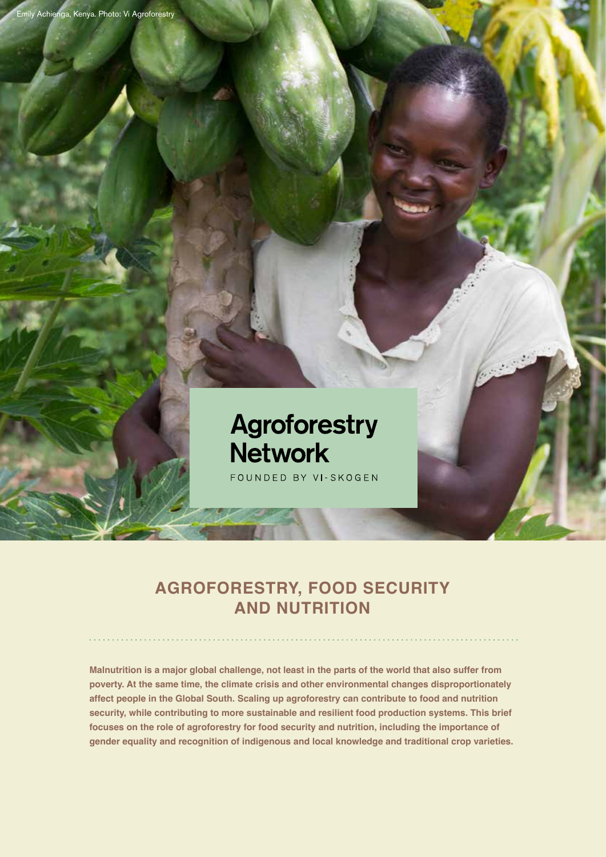

# **Agroforestry Network**

FOUNDED BY VI-SKOGEN

### **AGROFORESTRY, FOOD SECURITY AND NUTRITION**

**Malnutrition is a major global challenge, not least in the parts of the world that also suffer from poverty. At the same time, the climate crisis and other environmental changes disproportionately affect people in the Global South. Scaling up agroforestry can contribute to food and nutrition security, while contributing to more sustainable and resilient food production systems. This brief focuses on the role of agroforestry for food security and nutrition, including the importance of gender equality and recognition of indigenous and local knowledge and traditional crop varieties.**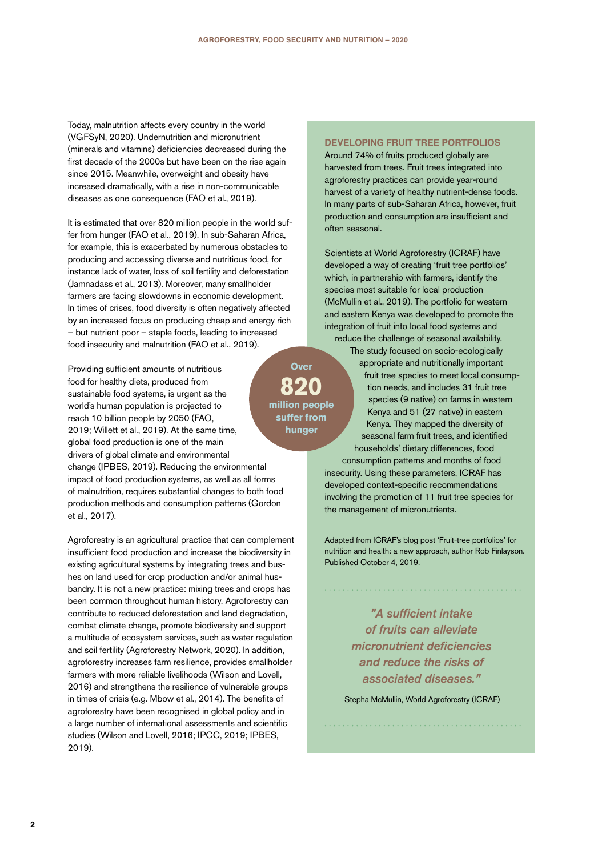Today, malnutrition affects every country in the world (VGFSyN, 2020). Undernutrition and micronutrient (minerals and vitamins) deficiencies decreased during the first decade of the 2000s but have been on the rise again since 2015. Meanwhile, overweight and obesity have increased dramatically, with a rise in non-communicable diseases as one consequence (FAO et al., 2019).

It is estimated that over 820 million people in the world suffer from hunger (FAO et al., 2019). In sub-Saharan Africa, for example, this is exacerbated by numerous obstacles to producing and accessing diverse and nutritious food, for instance lack of water, loss of soil fertility and deforestation (Jamnadass et al., 2013). Moreover, many smallholder farmers are facing slowdowns in economic development. In times of crises, food diversity is often negatively affected by an increased focus on producing cheap and energy rich – but nutrient poor – staple foods, leading to increased food insecurity and malnutrition (FAO et al., 2019).

Providing sufficient amounts of nutritious food for healthy diets, produced from sustainable food systems, is urgent as the world's human population is projected to reach 10 billion people by 2050 (FAO, 2019; Willett et al., 2019). At the same time, global food production is one of the main drivers of global climate and environmental change (IPBES, 2019). Reducing the environmental impact of food production systems, as well as all forms of malnutrition, requires substantial changes to both food production methods and consumption patterns (Gordon et al., 2017).

Agroforestry is an agricultural practice that can complement insufficient food production and increase the biodiversity in existing agricultural systems by integrating trees and bushes on land used for crop production and/or animal husbandry. It is not a new practice: mixing trees and crops has been common throughout human history. Agroforestry can contribute to reduced deforestation and land degradation, combat climate change, promote biodiversity and support a multitude of ecosystem services, such as water regulation and soil fertility (Agroforestry Network, 2020). In addition, agroforestry increases farm resilience, provides smallholder farmers with more reliable livelihoods (Wilson and Lovell, 2016) and strengthens the resilience of vulnerable groups in times of crisis (e.g. Mbow et al., 2014). The benefits of agroforestry have been recognised in global policy and in a large number of international assessments and scientific studies (Wilson and Lovell, 2016; IPCC, 2019; IPBES, 2019).

**Over 820 million people suffer from hunger** 

**DEVELOPING FRUIT TREE PORTFOLIOS**

Around 74% of fruits produced globally are harvested from trees. Fruit trees integrated into agroforestry practices can provide year-round harvest of a variety of healthy nutrient-dense foods. In many parts of sub-Saharan Africa, however, fruit production and consumption are insufficient and often seasonal.

Scientists at World Agroforestry (ICRAF) have developed a way of creating 'fruit tree portfolios' which, in partnership with farmers, identify the species most suitable for local production (McMullin et al., 2019). The portfolio for western and eastern Kenya was developed to promote the integration of fruit into local food systems and reduce the challenge of seasonal availability.

The study focused on socio-ecologically appropriate and nutritionally important fruit tree species to meet local consumption needs, and includes 31 fruit tree species (9 native) on farms in western Kenya and 51 (27 native) in eastern Kenya. They mapped the diversity of seasonal farm fruit trees, and identified households' dietary differences, food consumption patterns and months of food insecurity. Using these parameters, ICRAF has developed context-specific recommendations

involving the promotion of 11 fruit tree species for the management of micronutrients.

Adapted from ICRAF's blog post 'Fruit-tree portfolios' for nutrition and health: a new approach, author Rob Finlayson. Published October 4, 2019.

*"A sufficient intake of fruits can alleviate micronutrient deficiencies and reduce the risks of associated diseases."*

Stepha McMullin, World Agroforestry (ICRAF)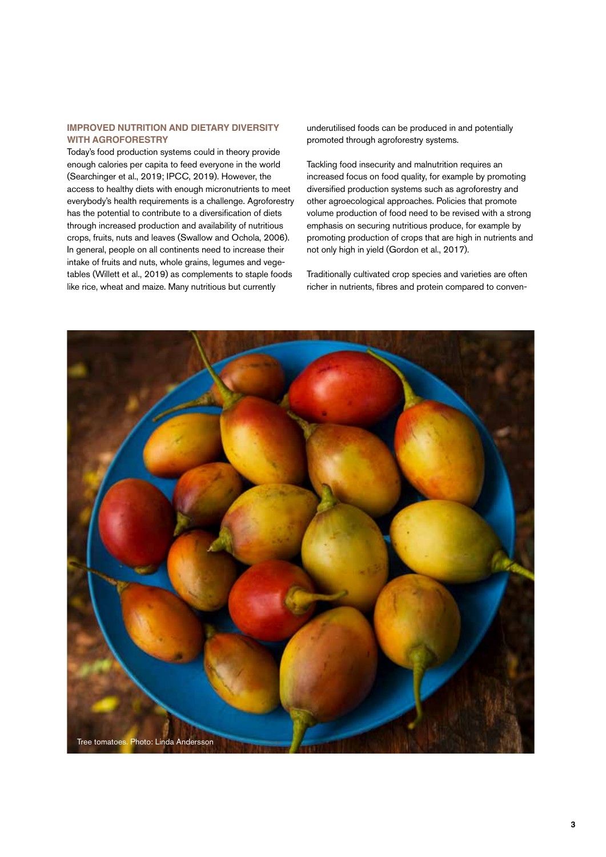#### **IMPROVED NUTRITION AND DIETARY DIVERSITY WITH AGROFORESTRY**

Today's food production systems could in theory provide enough calories per capita to feed everyone in the world (Searchinger et al., 2019; IPCC, 2019). However, the access to healthy diets with enough micronutrients to meet everybody's health requirements is a challenge. Agroforestry has the potential to contribute to a diversification of diets through increased production and availability of nutritious crops, fruits, nuts and leaves (Swallow and Ochola, 2006). In general, people on all continents need to increase their intake of fruits and nuts, whole grains, legumes and vegetables (Willett et al., 2019) as complements to staple foods like rice, wheat and maize. Many nutritious but currently

underutilised foods can be produced in and potentially promoted through agroforestry systems.

Tackling food insecurity and malnutrition requires an increased focus on food quality, for example by promoting diversified production systems such as agroforestry and other agroecological approaches. Policies that promote volume production of food need to be revised with a strong emphasis on securing nutritious produce, for example by promoting production of crops that are high in nutrients and not only high in yield (Gordon et al., 2017).

Traditionally cultivated crop species and varieties are often richer in nutrients, fibres and protein compared to conven-

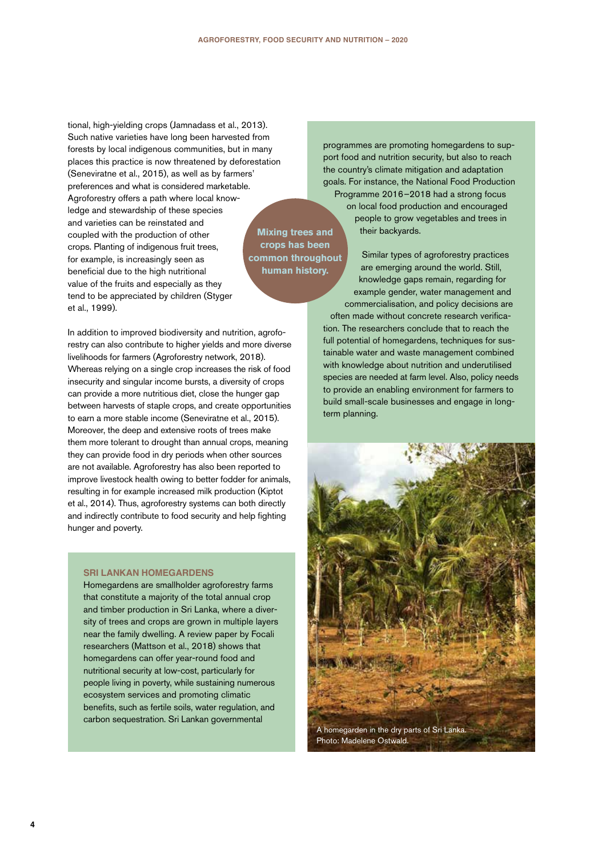tional, high-yielding crops (Jamnadass et al., 2013). Such native varieties have long been harvested from forests by local indigenous communities, but in many places this practice is now threatened by deforestation (Seneviratne et al., 2015), as well as by farmers' preferences and what is considered marketable. Agroforestry offers a path where local knowledge and stewardship of these species and varieties can be reinstated and coupled with the production of other crops. Planting of indigenous fruit trees, for example, is increasingly seen as beneficial due to the high nutritional value of the fruits and especially as they tend to be appreciated by children (Styger et al., 1999). **human history.** 

In addition to improved biodiversity and nutrition, agroforestry can also contribute to higher yields and more diverse livelihoods for farmers (Agroforestry network, 2018). Whereas relying on a single crop increases the risk of food insecurity and singular income bursts, a diversity of crops can provide a more nutritious diet, close the hunger gap between harvests of staple crops, and create opportunities to earn a more stable income (Seneviratne et al., 2015). Moreover, the deep and extensive roots of trees make them more tolerant to drought than annual crops, meaning they can provide food in dry periods when other sources are not available. Agroforestry has also been reported to improve livestock health owing to better fodder for animals, resulting in for example increased milk production (Kiptot et al., 2014). Thus, agroforestry systems can both directly and indirectly contribute to food security and help fighting hunger and poverty.

#### **SRI LANKAN HOMEGARDENS**

Homegardens are smallholder agroforestry farms that constitute a majority of the total annual crop and timber production in Sri Lanka, where a diversity of trees and crops are grown in multiple layers near the family dwelling. A review paper by Focali researchers (Mattson et al., 2018) shows that homegardens can offer year-round food and nutritional security at low-cost, particularly for people living in poverty, while sustaining numerous ecosystem services and promoting climatic benefits, such as fertile soils, water regulation, and carbon sequestration. Sri Lankan governmental

**Mixing trees and crops has been common throughout** 

programmes are promoting homegardens to support food and nutrition security, but also to reach the country's climate mitigation and adaptation goals. For instance, the National Food Production Programme 2016–2018 had a strong focus on local food production and encouraged people to grow vegetables and trees in their backyards.

Similar types of agroforestry practices are emerging around the world. Still, knowledge gaps remain, regarding for example gender, water management and commercialisation, and policy decisions are often made without concrete research verification. The researchers conclude that to reach the full potential of homegardens, techniques for sustainable water and waste management combined with knowledge about nutrition and underutilised species are needed at farm level. Also, policy needs to provide an enabling environment for farmers to build small-scale businesses and engage in longterm planning.

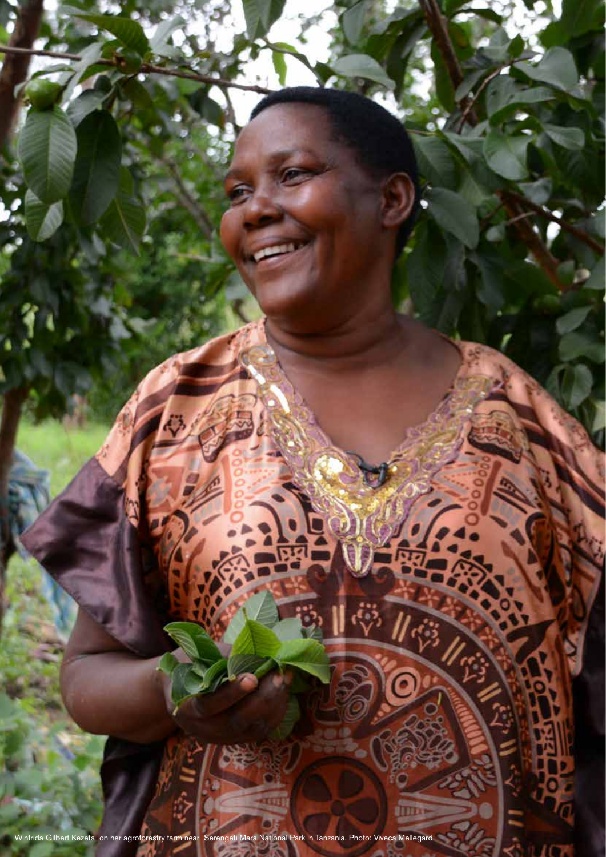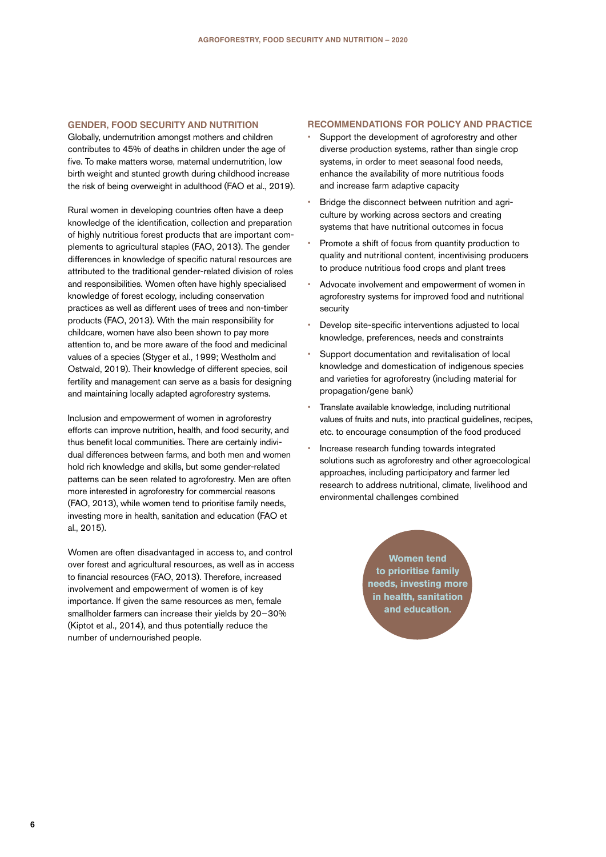#### **GENDER, FOOD SECURITY AND NUTRITION**

Globally, undernutrition amongst mothers and children contributes to 45% of deaths in children under the age of five. To make matters worse, maternal undernutrition, low birth weight and stunted growth during childhood increase the risk of being overweight in adulthood (FAO et al., 2019).

Rural women in developing countries often have a deep knowledge of the identification, collection and preparation of highly nutritious forest products that are important complements to agricultural staples (FAO, 2013). The gender differences in knowledge of specific natural resources are attributed to the traditional gender-related division of roles and responsibilities. Women often have highly specialised knowledge of forest ecology, including conservation practices as well as different uses of trees and non-timber products (FAO, 2013). With the main responsibility for childcare, women have also been shown to pay more attention to, and be more aware of the food and medicinal values of a species (Styger et al., 1999; Westholm and Ostwald, 2019). Their knowledge of different species, soil fertility and management can serve as a basis for designing and maintaining locally adapted agroforestry systems.

Inclusion and empowerment of women in agroforestry efforts can improve nutrition, health, and food security, and thus benefit local communities. There are certainly individual differences between farms, and both men and women hold rich knowledge and skills, but some gender-related patterns can be seen related to agroforestry. Men are often more interested in agroforestry for commercial reasons (FAO, 2013), while women tend to prioritise family needs, investing more in health, sanitation and education (FAO et al., 2015).

Women are often disadvantaged in access to, and control over forest and agricultural resources, as well as in access to financial resources (FAO, 2013). Therefore, increased involvement and empowerment of women is of key importance. If given the same resources as men, female smallholder farmers can increase their yields by 20–30% (Kiptot et al., 2014), and thus potentially reduce the number of undernourished people.

#### **RECOMMENDATIONS FOR POLICY AND PRACTICE**

- **•** Support the development of agroforestry and other diverse production systems, rather than single crop systems, in order to meet seasonal food needs, enhance the availability of more nutritious foods and increase farm adaptive capacity
- **•** Bridge the disconnect between nutrition and agriculture by working across sectors and creating systems that have nutritional outcomes in focus
- **•** Promote a shift of focus from quantity production to quality and nutritional content, incentivising producers to produce nutritious food crops and plant trees
- **•** Advocate involvement and empowerment of women in agroforestry systems for improved food and nutritional security
- **•** Develop site-specific interventions adjusted to local knowledge, preferences, needs and constraints
- **•** Support documentation and revitalisation of local knowledge and domestication of indigenous species and varieties for agroforestry (including material for propagation/gene bank)
- **•** Translate available knowledge, including nutritional values of fruits and nuts, into practical guidelines, recipes, etc. to encourage consumption of the food produced
- **•** Increase research funding towards integrated solutions such as agroforestry and other agroecological approaches, including participatory and farmer led research to address nutritional, climate, livelihood and environmental challenges combined

**Women tend to prioritise family needs, investing more in health, sanitation and education.**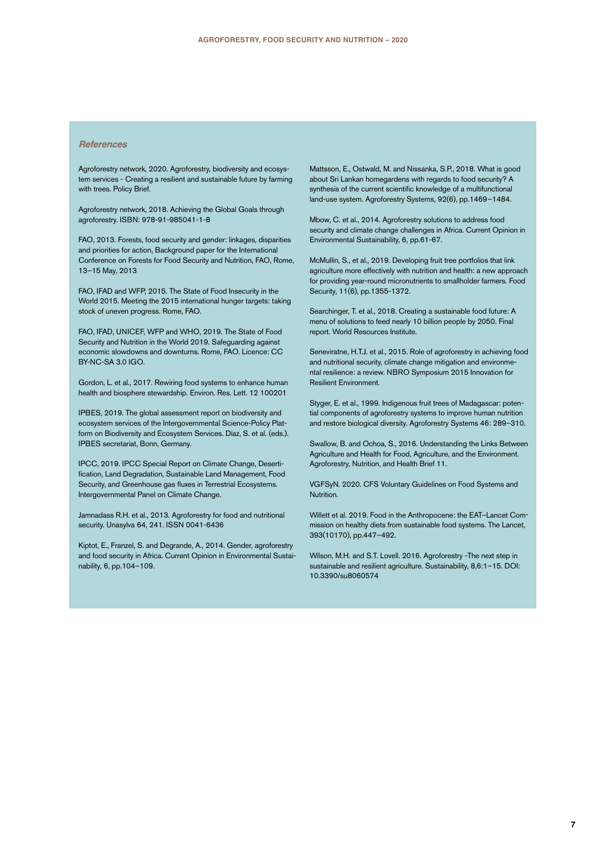#### *References*

Agroforestry network, 2020. Agroforestry, biodiversity and ecosystem services - Creating a resilient and sustainable future by farming with trees. Policy Brief.

Agroforestry network, 2018. Achieving the Global Goals through agroforestry. ISBN: 978-91-985041-1-8

FAO, 2013. Forests, food security and gender: linkages, disparities and priorities for action, Background paper for the International Conference on Forests for Food Security and Nutrition, FAO, Rome, 13–15 May, 2013

FAO, IFAD and WFP, 2015. The State of Food Insecurity in the World 2015. Meeting the 2015 international hunger targets: taking stock of uneven progress. Rome, FAO.

FAO, IFAD, UNICEF, WFP and WHO, 2019. The State of Food Security and Nutrition in the World 2019. Safeguarding against economic slowdowns and downturns. Rome, FAO. Licence: CC BY-NC-SA 3.0 IGO.

Gordon, L. et al., 2017. Rewiring food systems to enhance human health and biosphere stewardship. Environ. Res. Lett. 12 100201

IPBES, 2019. The global assessment report on biodiversity and ecosystem services of the Intergovernmental Science-Policy Platform on Biodiversity and Ecosystem Services. Díaz, S. et al. (eds.). IPBES secretariat, Bonn, Germany.

IPCC, 2019. IPCC Special Report on Climate Change, Desertification, Land Degradation, Sustainable Land Management, Food Security, and Greenhouse gas fluxes in Terrestrial Ecosystems. Intergovernmental Panel on Climate Change.

Jamnadass R.H. et al., 2013. Agroforestry for food and nutritional security. Unasylva 64, 241. ISSN 0041-6436

Kiptot, E., Franzel, S. and Degrande, A., 2014. Gender, agroforestry and food security in Africa. Current Opinion in Environmental Sustainability, 6, pp.104–109.

Mattsson, E., Ostwald, M. and Nissanka, S.P., 2018. What is good about Sri Lankan homegardens with regards to food security? A synthesis of the current scientific knowledge of a multifunctional land-use system. Agroforestry Systems, 92(6), pp.1469–1484.

Mbow, C. et al., 2014. Agroforestry solutions to address food security and climate change challenges in Africa. Current Opinion in Environmental Sustainability, 6, pp.61-67.

McMullin, S., et al., 2019. Developing fruit tree portfolios that link agriculture more effectively with nutrition and health: a new approach for providing year-round micronutrients to smallholder farmers. Food Security, 11(6), pp.1355-1372.

Searchinger, T. et al., 2018. Creating a sustainable food future: A menu of solutions to feed nearly 10 billion people by 2050. Final report. World Resources Institute.

Seneviratne, H.T.J. et al., 2015. Role of agroforestry in achieving food and nutritional security, climate change mitigation and environmental resilience: a review. NBRO Symposium 2015 Innovation for Resilient Environment.

Styger, E. et al., 1999. Indigenous fruit trees of Madagascar: potential components of agroforestry systems to improve human nutrition and restore biological diversity. Agroforestry Systems 46: 289–310.

Swallow, B. and Ochoa, S., 2016. Understanding the Links Between Agriculture and Health for Food, Agriculture, and the Environment. Agroforestry, Nutrition, and Health Brief 11.

VGFSyN. 2020. CFS Voluntary Guidelines on Food Systems and Nutrition.

Willett et al. 2019. Food in the Anthropocene: the EAT–Lancet Commission on healthy diets from sustainable food systems. The Lancet, 393(10170), pp.447–492.

Wilson, M.H. and S.T. Lovell. 2016. Agroforestry -The next step in sustainable and resilient agriculture. Sustainability, 8,6:1–15. DOI: 10.3390/su8060574